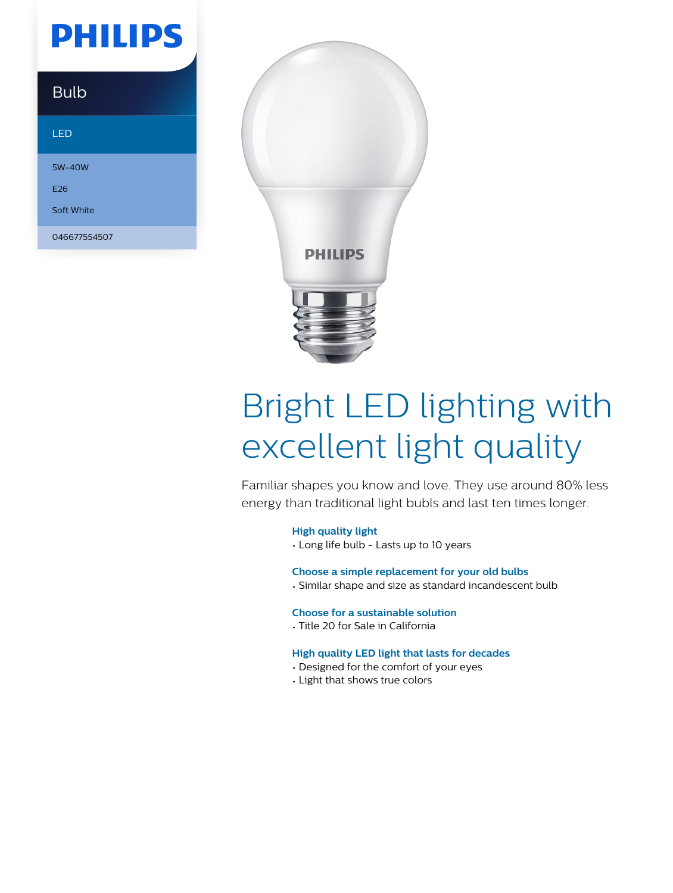# **PHILIPS**

### **Bulb**

#### LED

5W-40W

E26

Soft White

046677554507



# Bright LED lighting with excellent light quality

Familiar shapes you know and love. They use around 80% less energy than traditional light bubls and last ten times longer.

#### **High quality light**

• Long life bulb - Lasts up to 10 years

#### **Choose a simple replacement for your old bulbs**

• Similar shape and size as standard incandescent bulb

#### **Choose for a sustainable solution**

• Title 20 for Sale in California

#### **High quality LED light that lasts for decades**

- Designed for the comfort of your eyes
- Light that shows true colors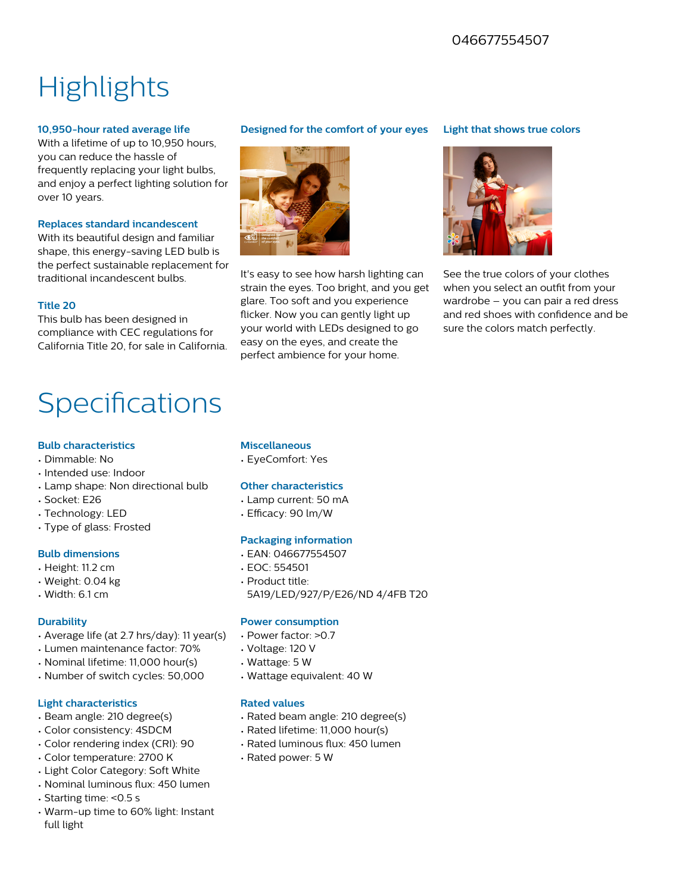### 046677554507

## **Highlights**

#### **10,950-hour rated average life**

With a lifetime of up to 10,950 hours, you can reduce the hassle of frequently replacing your light bulbs, and enjoy a perfect lighting solution for over 10 years.

#### **Replaces standard incandescent**

With its beautiful design and familiar shape, this energy-saving LED bulb is the perfect sustainable replacement for traditional incandescent bulbs.

#### **Title 20**

This bulb has been designed in compliance with CEC regulations for California Title 20, for sale in California.

### Specifications

#### **Bulb characteristics**

- Dimmable: No
- Intended use: Indoor
- Lamp shape: Non directional bulb
- Socket: E26
- Technology: LED
- Type of glass: Frosted

#### **Bulb dimensions**

- Height: 11.2 cm
- Weight: 0.04 kg
- Width: 6.1 cm

#### **Durability**

- Average life (at 2.7 hrs/day): 11 year(s)
- Lumen maintenance factor: 70%
- Nominal lifetime: 11,000 hour(s)
- Number of switch cycles: 50,000

#### **Light characteristics**

- Beam angle: 210 degree(s)
- Color consistency: 4SDCM
- Color rendering index (CRI): 90
- Color temperature: 2700 K
- Light Color Category: Soft White
- Nominal luminous flux: 450 lumen
- Starting time: <0.5 s
- Warm-up time to 60% light: Instant full light

#### **Designed for the comfort of your eyes**



It's easy to see how harsh lighting can strain the eyes. Too bright, and you get glare. Too soft and you experience flicker. Now you can gently light up your world with LEDs designed to go easy on the eyes, and create the perfect ambience for your home.

#### **Light that shows true colors**



See the true colors of your clothes when you select an outfit from your wardrobe – you can pair a red dress and red shoes with confidence and be sure the colors match perfectly.

#### **Miscellaneous**

• EyeComfort: Yes

#### **Other characteristics**

- Lamp current: 50 mA
- $\cdot$  Efficacy: 90 lm/W

#### **Packaging information**

- EAN: 046677554507
- EOC: 554501
- Product title:
- 5A19/LED/927/P/E26/ND 4/4FB T20

#### **Power consumption**

- Power factor: >0.7
- Voltage: 120 V
- Wattage: 5 W
- Wattage equivalent: 40 W

#### **Rated values**

- Rated beam angle: 210 degree(s)
- Rated lifetime: 11,000 hour(s)
- Rated luminous flux: 450 lumen
- Rated power: 5 W